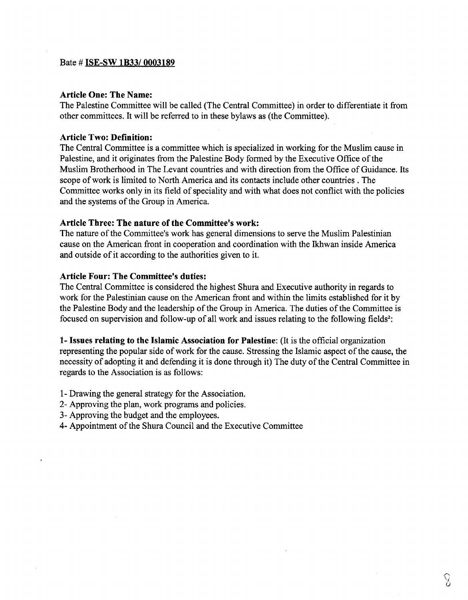#### Bate # ISE-SW **lB33l0003189**

#### **Article One: The Name:**

The Palestine Committee will be called (The Central Committee) in order to differentiate it from other committees. It will be referred to in these bylaws as (the Committee).

## **Article Two: Definition:**

The Central Committee is a committee which is specialized in working for the Muslim cause in Palestine, and it originates from the Palestine Body formed by the Executive Office of the Muslim Brotherhood in The Levant countries and with direction from the Office of Guidance. Its scope of work is limited to North America and its contacts include other countries . The Committee works only in its field of speciality and with what does not conflict with the policies and the systems of the Group in America.

### **Article Three: The nature of the Committee's work:**

The nature of the Committee's work has general dimensions to serve the Muslim Palestinian cause on the American front in cooperation and coordination with the Ikhwan inside America and outside of it according to the authorities given to it.

#### **Article Four: The Committee's duties:**

The Central Committee is considered the highest Shura and Executive authority in regards to work for the Palestinian cause on the American front and within the limits established for it by the Palestine Body and the leadership of the Group in America. The duties of the Committee is focused on supervision and follow-up of all work and issues relating to the following fields<sup>2</sup>:

**1- Issues relating to the Islamic Association for Palestine:** (It is the official organization representing the popular side of work for the cause. Stressing the Islamic aspect of the cause, the necessity of adopting it and defending it is done through it) The duty of the Central Committee in regards to the Association is as follows:

- 1 Drawing the general strategy for the Association.
- 2- Approving the plan, work programs and policies.
- 3- Approving the budget and the employees.
- 4- Appointment of the Shura Council and the Executive Committee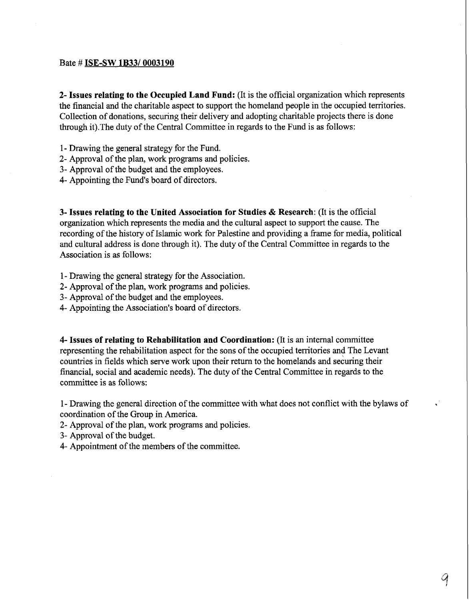### Bate # **ISE-SW lB33/0003190**

**2- Issues relating to the Occupied Land Fund:** (It **is** the official organization which represents the financial and the charitable aspect to support the homeland people in the occupied territories. Collection of donations, securing their delivery and adopting charitable projects there is done through it).The duty of the Central Committee in regards to the Fund is as follows:

- 1- Drawing the general strategy for the Fund.
- 2- Approval of the plan, work programs and policies.
- **3-** Approval of the budget and the employees.
- **4-** Appointing the Fund's board of directors.

**3- Issues relating to the United Association for Studies** & **Research:** (It is the official organization which represents the media and the cultural aspect to support the cause. The recording of the history of Islamic work for Palestine and providing a frame for media, political and cultural address is done through it). The duty of the Central Committee in regards to the Association is as follows:

- 1 Drawing the general strategy for the Association.
- **2-** Approval of the plan, work programs and policies.
- **3-** Approval of the budget and the employees.
- 4- Appointing the Association's board of directors.

**4- Issues of relating to Rehabilitation and Coordination:** (It is **an** internal committee representing the rehabilitation aspect for the sons of the occupied territories and The Levant countries in fields which serve work upon their return to the homelands and securing their financial, social and academic needs). The duty of the Central Committee in regards to the committee is as follows:

1 - Drawing the general direction of the committee with what does not conflict with the bylaws of coordination of the Group in America.

- 2- Approval of the plan, work programs and policies.
- **3-** Approval of the budget.
- **4-** Appointment of the members of the committee.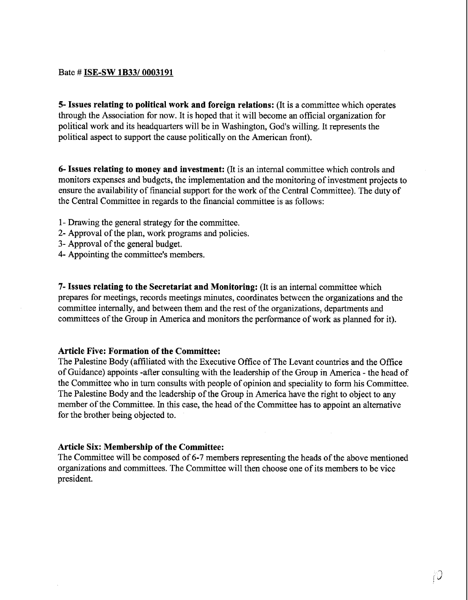#### Bate # **ISE-SW 1B33/0003191**

**5- Issues relating to political work and foreign relations:** (It is a committee which operates through the Association for now. It is hoped that it will become an official organization for political work and its headquarters will be in Washington, God's willing. It represents the political aspect to support the cause politically on the American front).

**6- Issues relating to money and investment:** (It is an internal committee which controls and monitors expenses and budgets, the implementation and the monitoring of investment projects to ensure the availability of financial support for the work of the Central Committee). The duty of the Central Committee in regards to the financial committee is as follows:

- 1- Drawing the general strategy for the committee.
- 2- Approval of the plan, work programs and policies.
- **3-** Approval of the general budget.
- 4- Appointing the committee's members.

**7- Issues relating to the Secretariat and Monitoring:** (It is an internal committee which prepares for meetings, records meetings minutes, coordinates between the organizations and the committee internally, and between them and the rest of the organizations, departments and committees of the Group in America and monitors the performance of work as planned for it).

#### **Article Five: Formation of the Committee:**

The Palestine Body (affiliated with the Executive Office of The Levant countries and the Office of Guidance) appoints -after consulting with the leadership of the Group in America - the head of the Committee who in turn consults with people of opinion and speciality to form his Committee. The Palestine Body and the leadership of the Group in America have the right to object to any member of the Committee. In this case, the head of the Committee has to appoint an alternative for the brother being objected to.

### **Article Six: Membership of the Committee:**

The Committee will be composed of 6-7 members representing the heads of the above mentioned organizations and committees. The Committee will then choose one of its members to be vice president.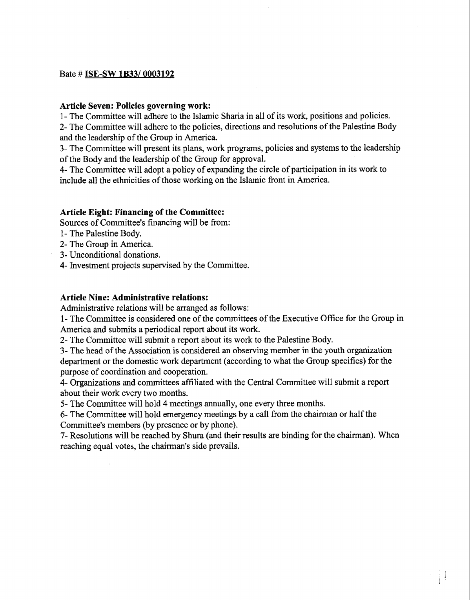## Bate # ISE-SW **lB3310003192**

### **Article Seven: Policies governing work:**

1- The Committee will adhere to the Islamic Sharia in all of its work, positions and policies.

2- The Committee will adhere to the policies, directions and resolutions of the Palestine Body and the leadership of the Group in America.

**3-** The Committee will present its plans, work programs, policies and systems to the leadership of the Body and the leadership of the Group for approval.

4- The Committee will adopt a policy of expanding the circle of participation in its work to include all the ethnicities of those working on the Islamic front in America.

### **Article Eight: Financing of the Committee:**

Sources of Committee's financing will be from:

- 1- The Palestine Body.
- 2- The Group in America.
- **3-** Unconditional donations.
- 4- Investment projects supervised by the Committee.

### **Article Nine: Administrative relations:**

Administrative relations will be arranged as follows:

1- The Committee is considered one of the committees of the Executive Office for the Group in America **and** submits a periodical report about its work.

2- The Committee will submit a report about its work to the Palestine Body.

3- The head of the Association is considered an observing member in the youth organization department or the domestic work department (according to what the Group specifies) for the purpose of coordination and cooperation.

4- Organizations and committees affiliated with the Central Committee will submit a report about their work every two months.

*5-* The Committee will hold 4 meetings annually, one every three months.

*6-* The Committee will hold emergency meetings by a call from the chairman or half the Committee's members (by presence or by phone).

**7-** Resolutions will be reached by Shura (and their results are binding for the chairman). When reaching equal votes, the chairman's side prevails.